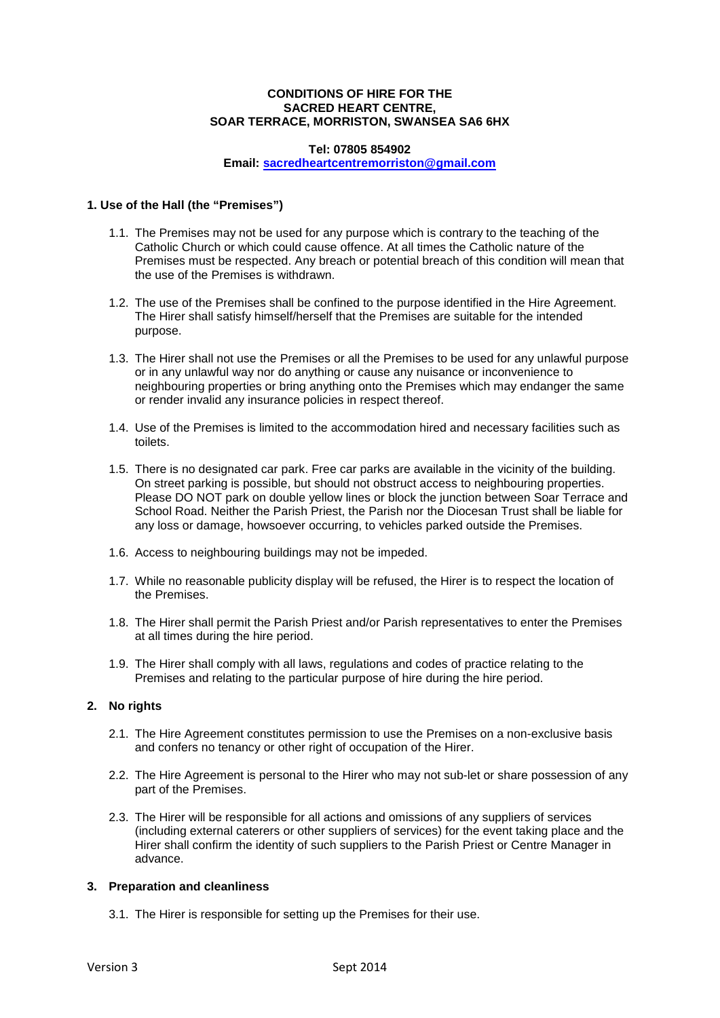### **CONDITIONS OF HIRE FOR THE SACRED HEART CENTRE, SOAR TERRACE, MORRISTON, SWANSEA SA6 6HX**

#### **Tel: 07805 854902**

**Email: [sacredheartcentremorriston@gmail.com](mailto:sacredheartcentremorriston@gmail.com)**

## **1. Use of the Hall (the "Premises")**

- 1.1. The Premises may not be used for any purpose which is contrary to the teaching of the Catholic Church or which could cause offence. At all times the Catholic nature of the Premises must be respected. Any breach or potential breach of this condition will mean that the use of the Premises is withdrawn.
- 1.2. The use of the Premises shall be confined to the purpose identified in the Hire Agreement. The Hirer shall satisfy himself/herself that the Premises are suitable for the intended purpose.
- 1.3. The Hirer shall not use the Premises or all the Premises to be used for any unlawful purpose or in any unlawful way nor do anything or cause any nuisance or inconvenience to neighbouring properties or bring anything onto the Premises which may endanger the same or render invalid any insurance policies in respect thereof.
- 1.4. Use of the Premises is limited to the accommodation hired and necessary facilities such as toilets.
- 1.5. There is no designated car park. Free car parks are available in the vicinity of the building. On street parking is possible, but should not obstruct access to neighbouring properties. Please DO NOT park on double yellow lines or block the junction between Soar Terrace and School Road. Neither the Parish Priest, the Parish nor the Diocesan Trust shall be liable for any loss or damage, howsoever occurring, to vehicles parked outside the Premises.
- 1.6. Access to neighbouring buildings may not be impeded.
- 1.7. While no reasonable publicity display will be refused, the Hirer is to respect the location of the Premises.
- 1.8. The Hirer shall permit the Parish Priest and/or Parish representatives to enter the Premises at all times during the hire period.
- 1.9. The Hirer shall comply with all laws, regulations and codes of practice relating to the Premises and relating to the particular purpose of hire during the hire period.

#### **2. No rights**

- 2.1. The Hire Agreement constitutes permission to use the Premises on a non-exclusive basis and confers no tenancy or other right of occupation of the Hirer.
- 2.2. The Hire Agreement is personal to the Hirer who may not sub-let or share possession of any part of the Premises.
- 2.3. The Hirer will be responsible for all actions and omissions of any suppliers of services (including external caterers or other suppliers of services) for the event taking place and the Hirer shall confirm the identity of such suppliers to the Parish Priest or Centre Manager in advance.

#### **3. Preparation and cleanliness**

3.1. The Hirer is responsible for setting up the Premises for their use.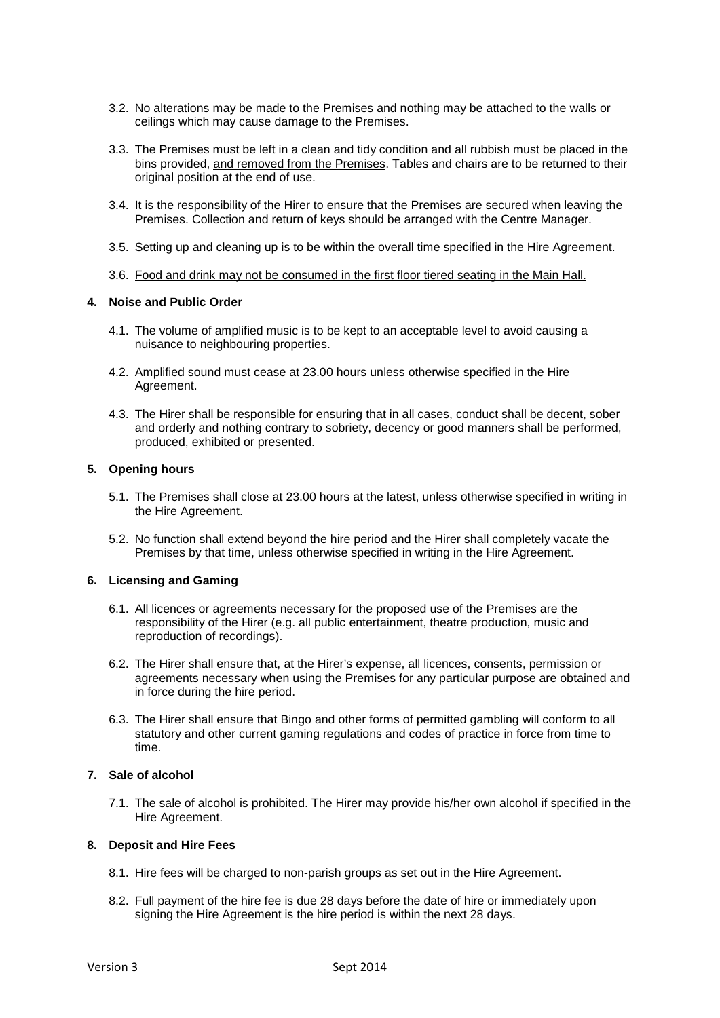- 3.2. No alterations may be made to the Premises and nothing may be attached to the walls or ceilings which may cause damage to the Premises.
- 3.3. The Premises must be left in a clean and tidy condition and all rubbish must be placed in the bins provided, and removed from the Premises. Tables and chairs are to be returned to their original position at the end of use.
- 3.4. It is the responsibility of the Hirer to ensure that the Premises are secured when leaving the Premises. Collection and return of keys should be arranged with the Centre Manager.
- 3.5. Setting up and cleaning up is to be within the overall time specified in the Hire Agreement.
- 3.6. Food and drink may not be consumed in the first floor tiered seating in the Main Hall.

#### **4. Noise and Public Order**

- 4.1. The volume of amplified music is to be kept to an acceptable level to avoid causing a nuisance to neighbouring properties.
- 4.2. Amplified sound must cease at 23.00 hours unless otherwise specified in the Hire Agreement.
- 4.3. The Hirer shall be responsible for ensuring that in all cases, conduct shall be decent, sober and orderly and nothing contrary to sobriety, decency or good manners shall be performed, produced, exhibited or presented.

# **5. Opening hours**

- 5.1. The Premises shall close at 23.00 hours at the latest, unless otherwise specified in writing in the Hire Agreement.
- 5.2. No function shall extend beyond the hire period and the Hirer shall completely vacate the Premises by that time, unless otherwise specified in writing in the Hire Agreement.

#### **6. Licensing and Gaming**

- 6.1. All licences or agreements necessary for the proposed use of the Premises are the responsibility of the Hirer (e.g. all public entertainment, theatre production, music and reproduction of recordings).
- 6.2. The Hirer shall ensure that, at the Hirer's expense, all licences, consents, permission or agreements necessary when using the Premises for any particular purpose are obtained and in force during the hire period.
- 6.3. The Hirer shall ensure that Bingo and other forms of permitted gambling will conform to all statutory and other current gaming regulations and codes of practice in force from time to time.

### **7. Sale of alcohol**

7.1. The sale of alcohol is prohibited. The Hirer may provide his/her own alcohol if specified in the Hire Agreement.

#### **8. Deposit and Hire Fees**

- 8.1. Hire fees will be charged to non-parish groups as set out in the Hire Agreement.
- 8.2. Full payment of the hire fee is due 28 days before the date of hire or immediately upon signing the Hire Agreement is the hire period is within the next 28 days.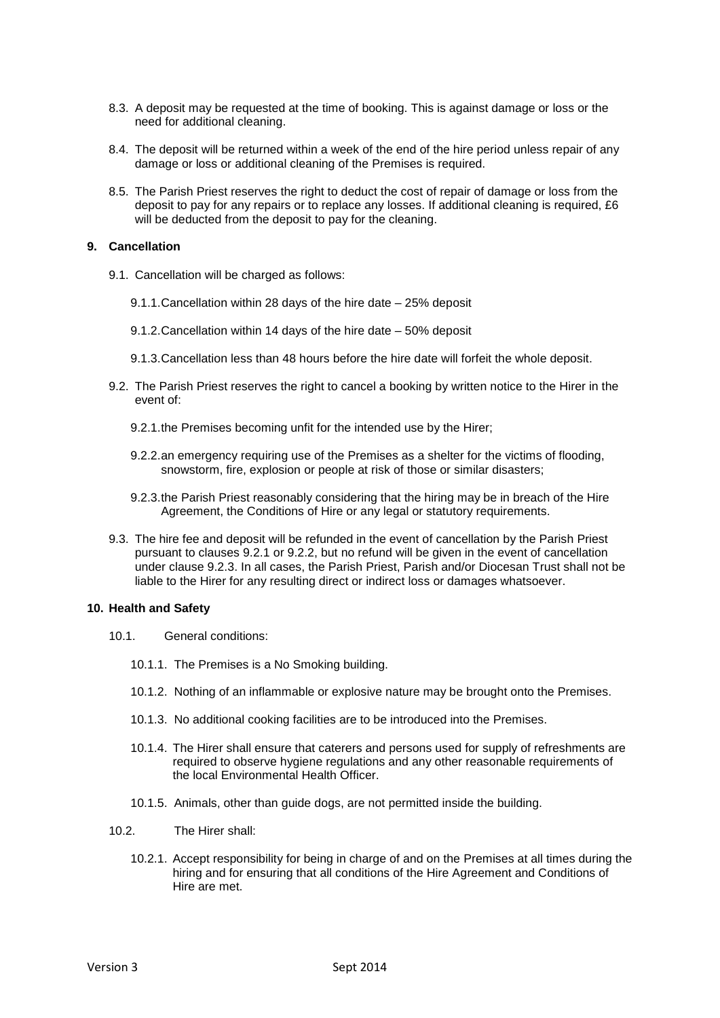- 8.3. A deposit may be requested at the time of booking. This is against damage or loss or the need for additional cleaning.
- 8.4. The deposit will be returned within a week of the end of the hire period unless repair of any damage or loss or additional cleaning of the Premises is required.
- 8.5. The Parish Priest reserves the right to deduct the cost of repair of damage or loss from the deposit to pay for any repairs or to replace any losses. If additional cleaning is required, £6 will be deducted from the deposit to pay for the cleaning.

#### **9. Cancellation**

- 9.1. Cancellation will be charged as follows:
	- 9.1.1.Cancellation within 28 days of the hire date 25% deposit
	- 9.1.2.Cancellation within 14 days of the hire date 50% deposit
	- 9.1.3.Cancellation less than 48 hours before the hire date will forfeit the whole deposit.
- 9.2. The Parish Priest reserves the right to cancel a booking by written notice to the Hirer in the event of:
	- 9.2.1.the Premises becoming unfit for the intended use by the Hirer;
	- 9.2.2.an emergency requiring use of the Premises as a shelter for the victims of flooding, snowstorm, fire, explosion or people at risk of those or similar disasters;
	- 9.2.3.the Parish Priest reasonably considering that the hiring may be in breach of the Hire Agreement, the Conditions of Hire or any legal or statutory requirements.
- 9.3. The hire fee and deposit will be refunded in the event of cancellation by the Parish Priest pursuant to clauses 9.2.1 or 9.2.2, but no refund will be given in the event of cancellation under clause 9.2.3. In all cases, the Parish Priest, Parish and/or Diocesan Trust shall not be liable to the Hirer for any resulting direct or indirect loss or damages whatsoever.

#### **10. Health and Safety**

- 10.1. General conditions:
	- 10.1.1. The Premises is a No Smoking building.
	- 10.1.2. Nothing of an inflammable or explosive nature may be brought onto the Premises.
	- 10.1.3. No additional cooking facilities are to be introduced into the Premises.
	- 10.1.4. The Hirer shall ensure that caterers and persons used for supply of refreshments are required to observe hygiene regulations and any other reasonable requirements of the local Environmental Health Officer.
	- 10.1.5. Animals, other than guide dogs, are not permitted inside the building.
- 10.2. The Hirer shall:
	- 10.2.1. Accept responsibility for being in charge of and on the Premises at all times during the hiring and for ensuring that all conditions of the Hire Agreement and Conditions of Hire are met.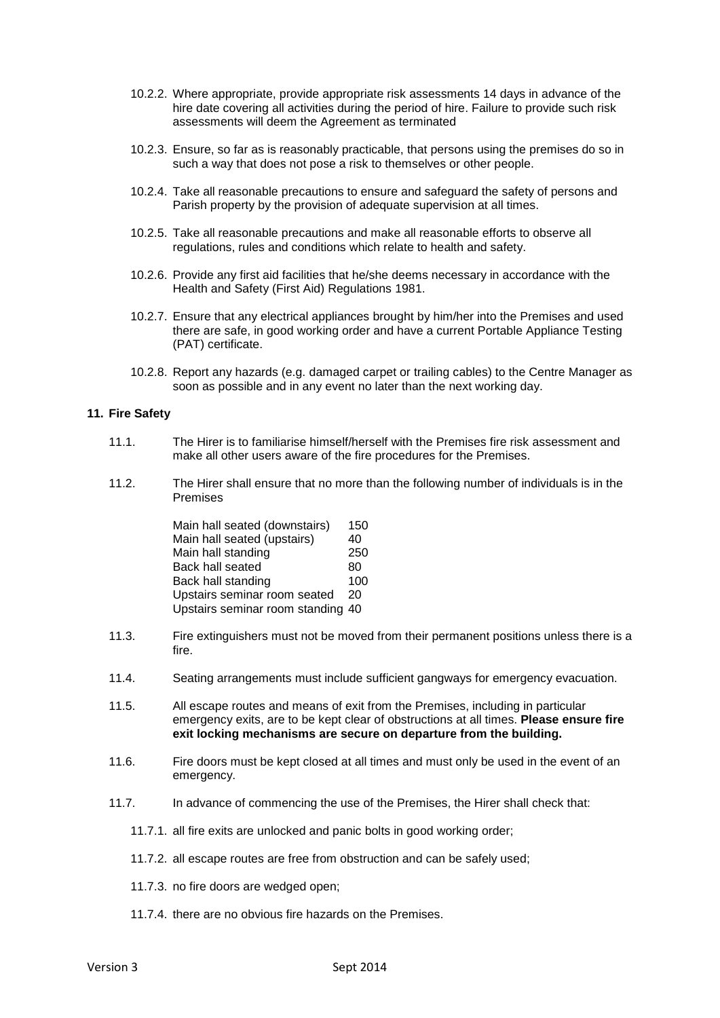- 10.2.2. Where appropriate, provide appropriate risk assessments 14 days in advance of the hire date covering all activities during the period of hire. Failure to provide such risk assessments will deem the Agreement as terminated
- 10.2.3. Ensure, so far as is reasonably practicable, that persons using the premises do so in such a way that does not pose a risk to themselves or other people.
- 10.2.4. Take all reasonable precautions to ensure and safeguard the safety of persons and Parish property by the provision of adequate supervision at all times.
- 10.2.5. Take all reasonable precautions and make all reasonable efforts to observe all regulations, rules and conditions which relate to health and safety.
- 10.2.6. Provide any first aid facilities that he/she deems necessary in accordance with the Health and Safety (First Aid) Regulations 1981.
- 10.2.7. Ensure that any electrical appliances brought by him/her into the Premises and used there are safe, in good working order and have a current Portable Appliance Testing (PAT) certificate.
- 10.2.8. Report any hazards (e.g. damaged carpet or trailing cables) to the Centre Manager as soon as possible and in any event no later than the next working day.

#### **11. Fire Safety**

- 11.1. The Hirer is to familiarise himself/herself with the Premises fire risk assessment and make all other users aware of the fire procedures for the Premises.
- 11.2. The Hirer shall ensure that no more than the following number of individuals is in the Premises

| Main hall seated (downstairs)     | 150 |
|-----------------------------------|-----|
| Main hall seated (upstairs)       | 40  |
| Main hall standing                | 250 |
| Back hall seated                  | 80  |
| Back hall standing                | 100 |
| Upstairs seminar room seated      | 20  |
| Upstairs seminar room standing 40 |     |

- 11.3. Fire extinguishers must not be moved from their permanent positions unless there is a fire.
- 11.4. Seating arrangements must include sufficient gangways for emergency evacuation.
- 11.5. All escape routes and means of exit from the Premises, including in particular emergency exits, are to be kept clear of obstructions at all times. **Please ensure fire exit locking mechanisms are secure on departure from the building.**
- 11.6. Fire doors must be kept closed at all times and must only be used in the event of an emergency.
- 11.7. In advance of commencing the use of the Premises, the Hirer shall check that:
	- 11.7.1. all fire exits are unlocked and panic bolts in good working order;
	- 11.7.2. all escape routes are free from obstruction and can be safely used;
	- 11.7.3. no fire doors are wedged open;
	- 11.7.4. there are no obvious fire hazards on the Premises.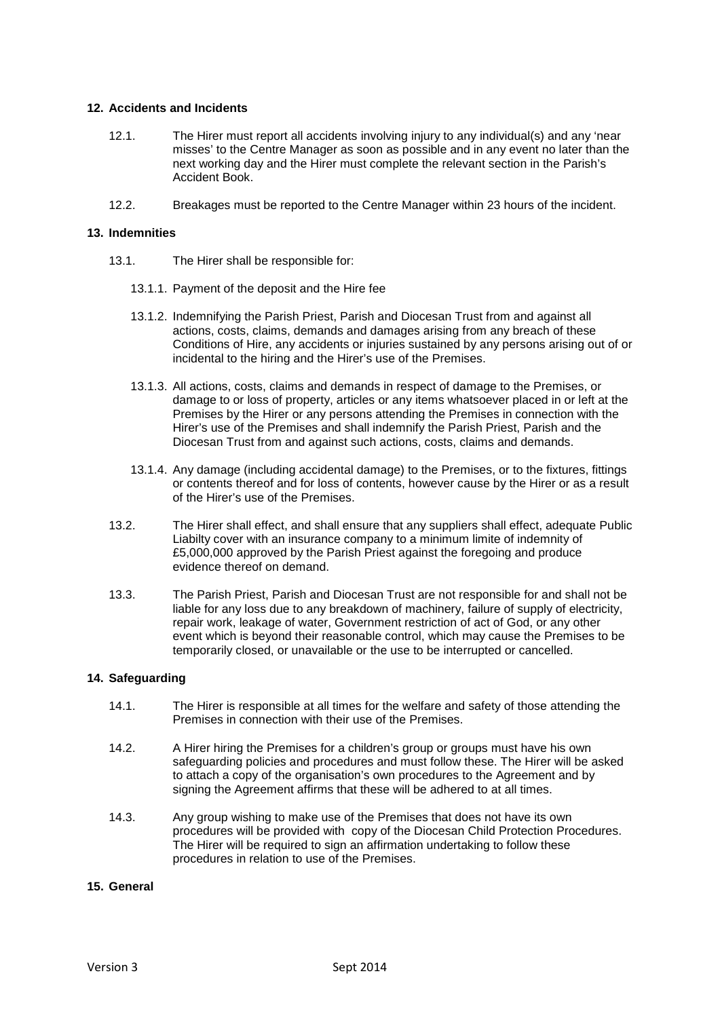### **12. Accidents and Incidents**

- 12.1. The Hirer must report all accidents involving injury to any individual(s) and any 'near misses' to the Centre Manager as soon as possible and in any event no later than the next working day and the Hirer must complete the relevant section in the Parish's Accident Book.
- 12.2. Breakages must be reported to the Centre Manager within 23 hours of the incident.

# **13. Indemnities**

- 13.1. The Hirer shall be responsible for:
	- 13.1.1. Payment of the deposit and the Hire fee
	- 13.1.2. Indemnifying the Parish Priest, Parish and Diocesan Trust from and against all actions, costs, claims, demands and damages arising from any breach of these Conditions of Hire, any accidents or injuries sustained by any persons arising out of or incidental to the hiring and the Hirer's use of the Premises.
	- 13.1.3. All actions, costs, claims and demands in respect of damage to the Premises, or damage to or loss of property, articles or any items whatsoever placed in or left at the Premises by the Hirer or any persons attending the Premises in connection with the Hirer's use of the Premises and shall indemnify the Parish Priest, Parish and the Diocesan Trust from and against such actions, costs, claims and demands.
	- 13.1.4. Any damage (including accidental damage) to the Premises, or to the fixtures, fittings or contents thereof and for loss of contents, however cause by the Hirer or as a result of the Hirer's use of the Premises.
- 13.2. The Hirer shall effect, and shall ensure that any suppliers shall effect, adequate Public Liabilty cover with an insurance company to a minimum limite of indemnity of £5,000,000 approved by the Parish Priest against the foregoing and produce evidence thereof on demand.
- 13.3. The Parish Priest, Parish and Diocesan Trust are not responsible for and shall not be liable for any loss due to any breakdown of machinery, failure of supply of electricity, repair work, leakage of water, Government restriction of act of God, or any other event which is beyond their reasonable control, which may cause the Premises to be temporarily closed, or unavailable or the use to be interrupted or cancelled.

# **14. Safeguarding**

- 14.1. The Hirer is responsible at all times for the welfare and safety of those attending the Premises in connection with their use of the Premises.
- 14.2. A Hirer hiring the Premises for a children's group or groups must have his own safeguarding policies and procedures and must follow these. The Hirer will be asked to attach a copy of the organisation's own procedures to the Agreement and by signing the Agreement affirms that these will be adhered to at all times.
- 14.3. Any group wishing to make use of the Premises that does not have its own procedures will be provided with copy of the Diocesan Child Protection Procedures. The Hirer will be required to sign an affirmation undertaking to follow these procedures in relation to use of the Premises.

#### **15. General**